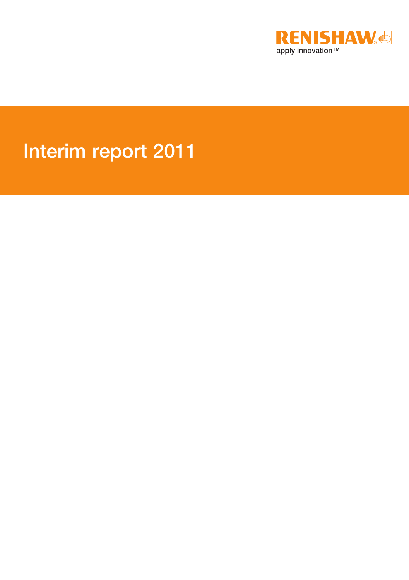

# Interim report 2011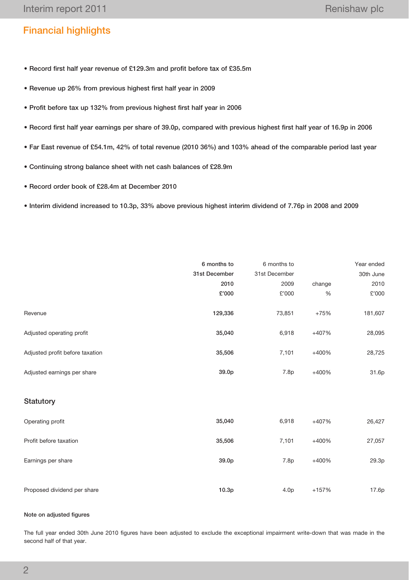# Financial highlights

- Record first half year revenue of £129.3m and profit before tax of £35.5m
- Revenue up 26% from previous highest first half year in 2009
- Profit before tax up 132% from previous highest first half year in 2006
- Record first half year earnings per share of 39.0p, compared with previous highest first half year of 16.9p in 2006
- Far East revenue of £54.1m, 42% of total revenue (2010 36%) and 103% ahead of the comparable period last year
- Continuing strong balance sheet with net cash balances of £28.9m
- Record order book of £28.4m at December 2010
- Interim dividend increased to 10.3p, 33% above previous highest interim dividend of 7.76p in 2008 and 2009

|                                 | 6 months to       | 6 months to      |         | Year ended |
|---------------------------------|-------------------|------------------|---------|------------|
|                                 | 31st December     | 31st December    |         | 30th June  |
|                                 | 2010              | 2009             | change  | 2010       |
|                                 | £'000             | £'000            | %       | £'000      |
| Revenue                         | 129,336           | 73,851           | $+75%$  | 181,607    |
| Adjusted operating profit       | 35,040            | 6,918            | +407%   | 28,095     |
| Adjusted profit before taxation | 35,506            | 7,101            | +400%   | 28,725     |
| Adjusted earnings per share     | 39.0p             | 7.8p             | +400%   | 31.6p      |
| Statutory                       |                   |                  |         |            |
| Operating profit                | 35,040            | 6,918            | +407%   | 26,427     |
| Profit before taxation          | 35,506            | 7,101            | +400%   | 27,057     |
| Earnings per share              | 39.0p             | 7.8p             | +400%   | 29.3p      |
| Proposed dividend per share     | 10.3 <sub>p</sub> | 4.0 <sub>p</sub> | $+157%$ | 17.6p      |

## Note on adjusted figures

The full year ended 30th June 2010 figures have been adjusted to exclude the exceptional impairment write-down that was made in the second half of that year.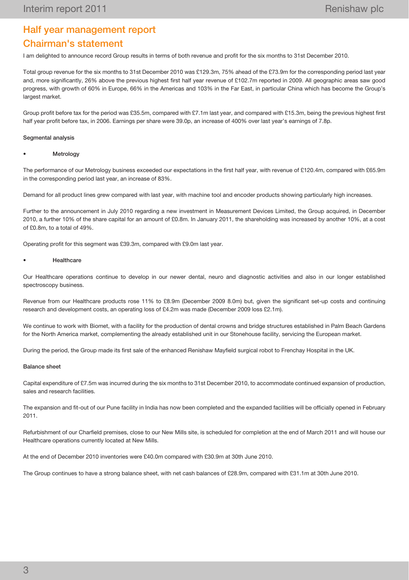# Half year management report Chairman's statement

I am delighted to announce record Group results in terms of both revenue and profit for the six months to 31st December 2010.

Total group revenue for the six months to 31st December 2010 was £129.3m, 75% ahead of the £73.9m for the corresponding period last year and, more significantly, 26% above the previous highest first half year revenue of £102.7m reported in 2009. All geographic areas saw good progress, with growth of 60% in Europe, 66% in the Americas and 103% in the Far East, in particular China which has become the Group's largest market.

Group profit before tax for the period was £35.5m, compared with £7.1m last year, and compared with £15.3m, being the previous highest first half year profit before tax, in 2006. Earnings per share were 39.0p, an increase of 400% over last year's earnings of 7.8p.

#### Segmental analysis

#### **Metrology**

The performance of our Metrology business exceeded our expectations in the first half year, with revenue of £120.4m, compared with £65.9m in the corresponding period last year, an increase of 83%.

Demand for all product lines grew compared with last year, with machine tool and encoder products showing particularly high increases.

Further to the announcement in July 2010 regarding a new investment in Measurement Devices Limited, the Group acquired, in December 2010, a further 10% of the share capital for an amount of £0.8m. In January 2011, the shareholding was increased by another 10%, at a cost of £0.8m, to a total of 49%.

Operating profit for this segment was £39.3m, compared with £9.0m last year.

#### **Healthcare**

Our Healthcare operations continue to develop in our newer dental, neuro and diagnostic activities and also in our longer established spectroscopy business.

Revenue from our Healthcare products rose 11% to £8.9m (December 2009 8.0m) but, given the significant set-up costs and continuing research and development costs, an operating loss of £4.2m was made (December 2009 loss £2.1m).

We continue to work with Biomet, with a facility for the production of dental crowns and bridge structures established in Palm Beach Gardens for the North America market, complementing the already established unit in our Stonehouse facility, servicing the European market.

During the period, the Group made its first sale of the enhanced Renishaw Mayfield surgical robot to Frenchay Hospital in the UK.

#### Balance sheet

Capital expenditure of £7.5m was incurred during the six months to 31st December 2010, to accommodate continued expansion of production, sales and research facilities.

The expansion and fit-out of our Pune facility in India has now been completed and the expanded facilities will be officially opened in February 2011.

Refurbishment of our Charfield premises, close to our New Mills site, is scheduled for completion at the end of March 2011 and will house our Healthcare operations currently located at New Mills.

At the end of December 2010 inventories were £40.0m compared with £30.9m at 30th June 2010.

The Group continues to have a strong balance sheet, with net cash balances of £28.9m, compared with £31.1m at 30th June 2010.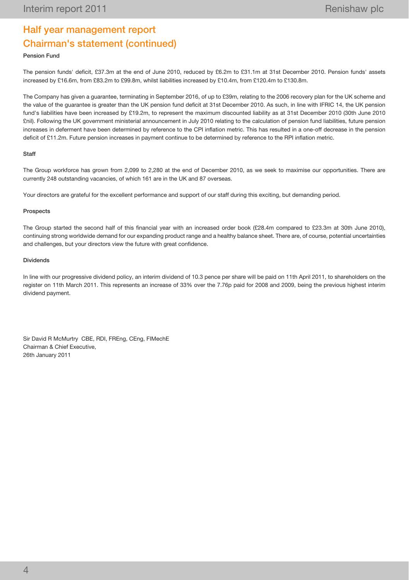# Half year management report Chairman's statement (continued)

#### Pension Fund

The pension funds' deficit, £37.3m at the end of June 2010, reduced by £6.2m to £31.1m at 31st December 2010. Pension funds' assets increased by £16.6m, from £83.2m to £99.8m, whilst liabilities increased by £10.4m, from £120.4m to £130.8m.

The Company has given a guarantee, terminating in September 2016, of up to £39m, relating to the 2006 recovery plan for the UK scheme and the value of the guarantee is greater than the UK pension fund deficit at 31st December 2010. As such, in line with IFRIC 14, the UK pension fund's liabilities have been increased by £19.2m, to represent the maximum discounted liability as at 31st December 2010 (30th June 2010 £nil). Following the UK government ministerial announcement in July 2010 relating to the calculation of pension fund liabilities, future pension increases in deferment have been determined by reference to the CPI inflation metric. This has resulted in a one-off decrease in the pension deficit of £11.2m. Future pension increases in payment continue to be determined by reference to the RPI inflation metric.

#### Staff

The Group workforce has grown from 2,099 to 2,280 at the end of December 2010, as we seek to maximise our opportunities. There are currently 248 outstanding vacancies, of which 161 are in the UK and 87 overseas.

Your directors are grateful for the excellent performance and support of our staff during this exciting, but demanding period.

#### Prospects

The Group started the second half of this financial year with an increased order book (£28.4m compared to £23.3m at 30th June 2010), continuing strong worldwide demand for our expanding product range and a healthy balance sheet. There are, of course, potential uncertainties and challenges, but your directors view the future with great confidence.

#### Dividends

In line with our progressive dividend policy, an interim dividend of 10.3 pence per share will be paid on 11th April 2011, to shareholders on the register on 11th March 2011. This represents an increase of 33% over the 7.76p paid for 2008 and 2009, being the previous highest interim dividend payment.

Sir David R McMurtry CBE, RDI, FREng, CEng, FIMechE Chairman & Chief Executive, 26th January 2011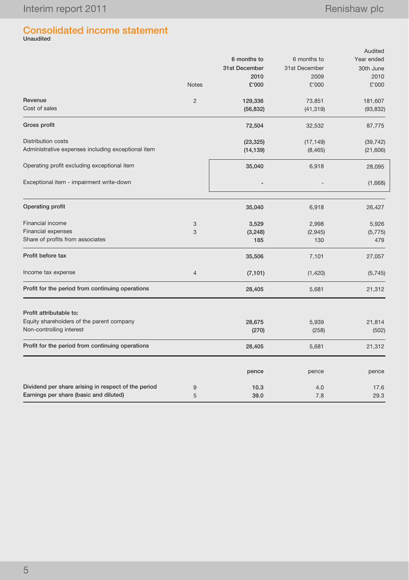# Consolidated income statement Unaudited

|                                                     |                |               |               | Audited    |
|-----------------------------------------------------|----------------|---------------|---------------|------------|
|                                                     |                | 6 months to   | 6 months to   | Year ended |
|                                                     |                | 31st December | 31st December | 30th June  |
|                                                     |                | 2010          | 2009          | 2010       |
|                                                     | <b>Notes</b>   | £'000         | £'000         | £'000      |
| Revenue                                             | $\overline{2}$ | 129,336       | 73,851        | 181,607    |
| Cost of sales                                       |                | (56, 832)     | (41, 319)     | (93, 832)  |
| Gross profit                                        |                | 72,504        | 32,532        | 87,775     |
| Distribution costs                                  |                | (23, 325)     | (17, 149)     | (39, 742)  |
| Administrative expenses including exceptional item  |                | (14, 139)     | (8, 465)      | (21,606)   |
| Operating profit excluding exceptional item         |                | 35,040        | 6,918         | 28,095     |
| Exceptional item - impairment write-down            |                |               |               | (1,668)    |
| Operating profit                                    |                | 35,040        | 6,918         | 26,427     |
| Financial income                                    | 3              | 3,529         | 2,998         | 5,926      |
| <b>Financial expenses</b>                           | 3              | (3, 248)      | (2,945)       | (5, 775)   |
| Share of profits from associates                    |                | 185           | 130           | 479        |
| Profit before tax                                   |                | 35,506        | 7,101         | 27,057     |
| Income tax expense                                  | 4              | (7, 101)      | (1,420)       | (5,745)    |
| Profit for the period from continuing operations    |                | 28,405        | 5,681         | 21,312     |
| Profit attributable to:                             |                |               |               |            |
| Equity shareholders of the parent company           |                | 28,675        | 5,939         | 21,814     |
| Non-controlling interest                            |                | (270)         | (258)         | (502)      |
| Profit for the period from continuing operations    |                | 28,405        | 5,681         | 21,312     |
|                                                     |                | pence         | pence         | pence      |
| Dividend per share arising in respect of the period | 9              | 10.3          | 4.0           | 17.6       |
| Earnings per share (basic and diluted)              | 5              | 39.0          | 7.8           | 29.3       |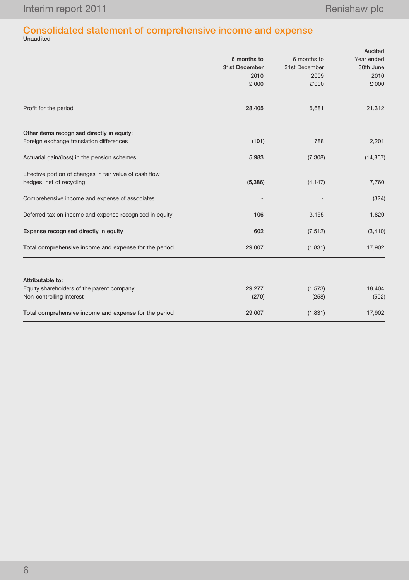# Consolidated statement of comprehensive income and expense Unaudited

|                                                         |               |               | Audited    |
|---------------------------------------------------------|---------------|---------------|------------|
|                                                         | 6 months to   | 6 months to   | Year ended |
|                                                         | 31st December | 31st December | 30th June  |
|                                                         | 2010          | 2009          | 2010       |
|                                                         | £'000         | £'000         | £'000      |
| Profit for the period                                   | 28,405        | 5,681         | 21,312     |
| Other items recognised directly in equity:              |               |               |            |
| Foreign exchange translation differences                | (101)         | 788           | 2,201      |
| Actuarial gain/(loss) in the pension schemes            | 5,983         | (7,308)       | (14, 867)  |
| Effective portion of changes in fair value of cash flow |               |               |            |
| hedges, net of recycling                                | (5,386)       | (4, 147)      | 7,760      |
| Comprehensive income and expense of associates          |               |               | (324)      |
| Deferred tax on income and expense recognised in equity | 106           | 3,155         | 1,820      |
| Expense recognised directly in equity                   | 602           | (7, 512)      | (3, 410)   |
| Total comprehensive income and expense for the period   | 29,007        | (1,831)       | 17,902     |
| Attributable to:                                        |               |               |            |
| Equity shareholders of the parent company               | 29,277        | (1, 573)      | 18,404     |
| Non-controlling interest                                | (270)         | (258)         | (502)      |
| Total comprehensive income and expense for the period   | 29,007        | (1,831)       | 17,902     |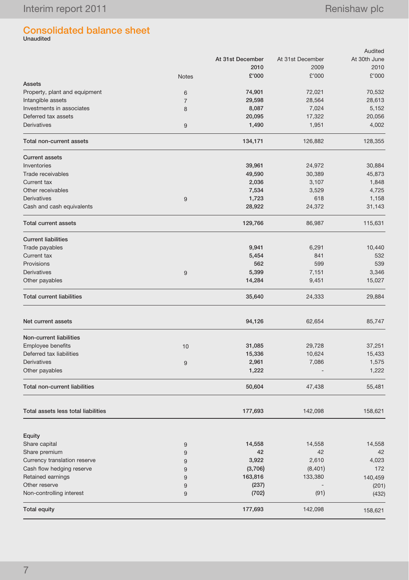# Consolidated balance sheet Unaudited

|                                      |                  |                  |                  | Audited      |
|--------------------------------------|------------------|------------------|------------------|--------------|
|                                      |                  | At 31st December | At 31st December | At 30th June |
|                                      |                  | 2010             | 2009             | 2010         |
|                                      | <b>Notes</b>     | £'000            | £'000            | £'000        |
| <b>Assets</b>                        |                  |                  |                  |              |
| Property, plant and equipment        | 6                | 74,901           | 72,021           | 70,532       |
| Intangible assets                    | $\overline{7}$   | 29,598           | 28,564           | 28,613       |
| Investments in associates            | 8                | 8,087            | 7,024            | 5,152        |
| Deferred tax assets                  |                  | 20,095           | 17,322           | 20,056       |
| <b>Derivatives</b>                   |                  |                  |                  |              |
|                                      | 9                | 1,490            | 1,951            | 4,002        |
| Total non-current assets             |                  | 134,171          | 126,882          | 128,355      |
| <b>Current assets</b>                |                  |                  |                  |              |
| Inventories                          |                  | 39,961           | 24,972           | 30,884       |
| Trade receivables                    |                  | 49,590           | 30,389           | 45,873       |
| Current tax                          |                  | 2,036            | 3,107            | 1,848        |
| Other receivables                    |                  | 7,534            | 3,529            | 4,725        |
| <b>Derivatives</b>                   | 9                | 1,723            | 618              | 1,158        |
| Cash and cash equivalents            |                  | 28,922           | 24,372           | 31,143       |
|                                      |                  |                  |                  |              |
| <b>Total current assets</b>          |                  | 129,766          | 86,987           | 115,631      |
| <b>Current liabilities</b>           |                  |                  |                  |              |
| Trade payables                       |                  | 9,941            | 6,291            | 10,440       |
| Current tax                          |                  | 5,454            | 841              | 532          |
| Provisions                           |                  | 562              | 599              | 539          |
| Derivatives                          | 9                | 5,399            | 7,151            | 3,346        |
| Other payables                       |                  | 14,284           | 9,451            | 15,027       |
| <b>Total current liabilities</b>     |                  | 35,640           | 24,333           | 29,884       |
| Net current assets                   |                  | 94,126           | 62,654           | 85,747       |
|                                      |                  |                  |                  |              |
| Non-current liabilities              |                  |                  |                  |              |
| Employee benefits                    | 10               | 31,085           | 29,728           | 37,251       |
| Deferred tax liabilities             |                  | 15,336           | 10,624           | 15,433       |
| Derivatives                          | 9                | 2,961            | 7,086            | 1,575        |
| Other payables                       |                  | 1,222            |                  | 1,222        |
| <b>Total non-current liabilities</b> |                  | 50,604           | 47,438           | 55,481       |
| Total assets less total liabilities  |                  | 177,693          | 142,098          | 158,621      |
|                                      |                  |                  |                  |              |
| Equity                               |                  |                  |                  |              |
| Share capital                        | $\boldsymbol{9}$ | 14,558           | 14,558           | 14,558       |
| Share premium                        | 9                | 42               | 42               | 42           |
| Currency translation reserve         | 9                | 3,922            | 2,610            | 4,023        |
| Cash flow hedging reserve            | 9                | (3,706)          | (8,401)          | 172          |
| Retained earnings                    | 9                | 163,816          | 133,380          | 140,459      |
| Other reserve                        | 9                | (237)            |                  | (201)        |
| Non-controlling interest             | 9                | (702)            | (91)             | (432)        |
| <b>Total equity</b>                  |                  | 177,693          | 142,098          | 158,621      |
|                                      |                  |                  |                  |              |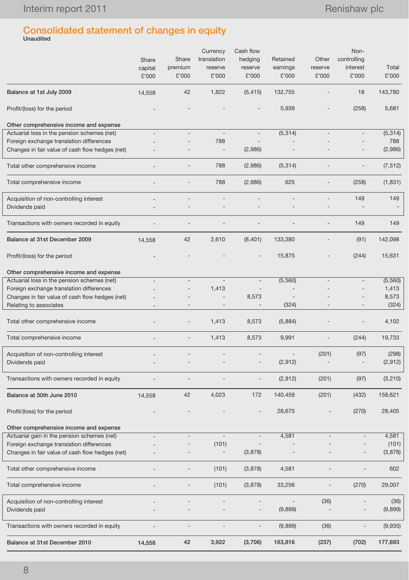# Consolidated statement of changes in equity Unaudited

|                                                                                             | Share<br>capital<br>£'000 | Share<br>premium<br>£'000 | Currency<br>translation<br>reserve<br>£'000 | Cash flow<br>hedging<br>reserve<br>£'000 | Retained<br>earnings<br>£'000 | Other<br>reserve<br>£'000 | Non-<br>controlling<br>interest<br>£'000 | Total<br>£'000   |
|---------------------------------------------------------------------------------------------|---------------------------|---------------------------|---------------------------------------------|------------------------------------------|-------------------------------|---------------------------|------------------------------------------|------------------|
| Balance at 1st July 2009                                                                    | 14,558                    | 42                        | 1,822                                       | (5, 415)                                 | 132,755                       |                           | 18                                       | 143,780          |
| Profit/(loss) for the period                                                                |                           |                           |                                             |                                          | 5,939                         |                           | (258)                                    | 5,681            |
| Other comprehensive income and expense                                                      |                           |                           |                                             |                                          |                               |                           |                                          |                  |
| Actuarial loss in the pension schemes (net)                                                 |                           |                           | $\blacksquare$                              | $\overline{\phantom{a}}$                 | (5,314)                       |                           |                                          | (5,314)          |
| Foreign exchange translation differences                                                    |                           |                           | 788                                         |                                          |                               |                           |                                          | 788              |
| Changes in fair value of cash flow hedges (net)                                             |                           |                           |                                             | (2,986)                                  |                               |                           |                                          | (2,986)          |
| Total other comprehensive income                                                            |                           |                           | 788                                         | (2,986)                                  | (5,314)                       |                           |                                          | (7, 512)         |
| Total comprehensive income                                                                  |                           |                           | 788                                         | (2,986)                                  | 625                           |                           | (258)                                    | (1, 831)         |
| Acquisition of non-controlling interest                                                     |                           |                           |                                             |                                          |                               |                           | 149                                      | 149              |
| Dividends paid                                                                              |                           |                           |                                             |                                          |                               |                           |                                          |                  |
| Transactions with owners recorded in equity                                                 |                           |                           |                                             |                                          |                               |                           | 149                                      | 149              |
| Balance at 31st December 2009                                                               | 14,558                    | 42                        | 2,610                                       | (8,401)                                  | 133,380                       |                           | (91)                                     | 142,098          |
| Profit/(loss) for the period                                                                |                           |                           |                                             | $\overline{\phantom{a}}$                 | 15,875                        |                           | (244)                                    | 15,631           |
| Other comprehensive income and expense                                                      |                           |                           |                                             |                                          |                               |                           |                                          |                  |
| Actuarial loss in the pension schemes (net)                                                 |                           |                           |                                             | $\overline{\phantom{a}}$                 | (5,560)                       |                           |                                          | (5,560)          |
| Foreign exchange translation differences<br>Changes in fair value of cash flow hedges (net) |                           |                           | 1,413                                       | 8,573                                    |                               |                           |                                          | 1,413<br>8,573   |
| Relating to associates                                                                      |                           |                           |                                             |                                          | (324)                         |                           |                                          | (324)            |
| Total other comprehensive income                                                            |                           |                           | 1,413                                       | 8,573                                    | (5,884)                       |                           |                                          | 4,102            |
| Total comprehensive income                                                                  |                           |                           | 1,413                                       | 8,573                                    | 9,991                         |                           | (244)                                    | 19,733           |
|                                                                                             |                           |                           |                                             |                                          |                               |                           |                                          |                  |
| Acquisition of non-controlling interest<br>Dividends paid                                   |                           |                           |                                             | $\overline{\phantom{a}}$                 | (2,912)                       | (201)                     | (97)<br>$\overline{\phantom{m}}$         | (298)<br>(2,912) |
|                                                                                             |                           |                           |                                             | $\overline{a}$                           |                               |                           |                                          |                  |
| Transactions with owners recorded in equity                                                 |                           |                           |                                             |                                          | (2,912)                       | (201)                     | (97)                                     | (3,210)          |
| Balance at 30th June 2010                                                                   | 14,558                    | 42                        | 4,023                                       | 172                                      | 140,459                       | (201)                     | (432)                                    | 158,621          |
| Profit/(loss) for the period                                                                |                           |                           |                                             |                                          | 28,675                        |                           | (270)                                    | 28,405           |
| Other comprehensive income and expense                                                      |                           |                           |                                             |                                          |                               |                           |                                          |                  |
| Actuarial gain in the pension schemes (net)                                                 |                           |                           | $\overline{\phantom{a}}$                    | $\qquad \qquad -$                        | 4,581                         |                           |                                          | 4,581            |
| Foreign exchange translation differences                                                    |                           |                           | (101)                                       |                                          |                               |                           |                                          | (101)            |
| Changes in fair value of cash flow hedges (net)                                             |                           |                           | $\overline{\phantom{a}}$                    | (3,878)                                  |                               |                           | $\qquad \qquad -$                        | (3,878)          |
| Total other comprehensive income                                                            |                           |                           | (101)                                       | (3,878)                                  | 4,581                         |                           |                                          | 602              |
| Total comprehensive income                                                                  |                           |                           | (101)                                       | (3,878)                                  | 33,256                        |                           | (270)                                    | 29,007           |
| Acquisition of non-controlling interest                                                     |                           |                           |                                             |                                          |                               | (36)                      |                                          | (36)             |
| Dividends paid                                                                              |                           |                           |                                             | $\overline{\phantom{a}}$                 | (9,899)                       |                           |                                          | (9,899)          |
| Transactions with owners recorded in equity                                                 |                           | $\qquad \qquad -$         |                                             | $\overline{a}$                           | (9,899)                       | (36)                      | $\overline{a}$                           | (9,935)          |
| Balance at 31st December 2010                                                               | 14,558                    | 42                        | 3,922                                       | (3,706)                                  | 163,816                       | (237)                     | (702)                                    | 177,693          |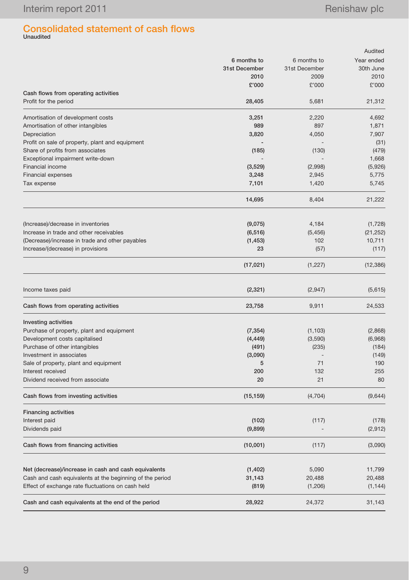# Consolidated statement of cash flows Unaudited

|                                                                                                               |                 |                   | Audited            |
|---------------------------------------------------------------------------------------------------------------|-----------------|-------------------|--------------------|
|                                                                                                               | 6 months to     | 6 months to       | Year ended         |
|                                                                                                               | 31st December   | 31st December     | 30th June          |
|                                                                                                               | 2010            | 2009              | 2010               |
|                                                                                                               | £'000           | £'000             | £'000              |
| Cash flows from operating activities                                                                          |                 |                   |                    |
| Profit for the period                                                                                         | 28,405          | 5,681             | 21,312             |
| Amortisation of development costs                                                                             | 3,251           | 2,220             | 4,692              |
| Amortisation of other intangibles                                                                             | 989             | 897               | 1,871              |
| Depreciation                                                                                                  | 3,820           | 4,050             | 7,907              |
| Profit on sale of property, plant and equipment                                                               |                 |                   | (31)               |
| Share of profits from associates                                                                              | (185)           | (130)             | (479)              |
| Exceptional impairment write-down                                                                             |                 |                   | 1,668              |
| Financial income                                                                                              | (3, 529)        | (2,998)           | (5,926)            |
| Financial expenses                                                                                            | 3,248           | 2,945             | 5,775              |
| Tax expense                                                                                                   | 7,101           | 1,420             | 5,745              |
|                                                                                                               | 14,695          | 8,404             | 21,222             |
| (Increase)/decrease in inventories                                                                            | (9,075)         | 4,184             | (1,728)            |
| Increase in trade and other receivables                                                                       | (6, 516)        | (5, 456)          | (21, 252)          |
| (Decrease)/increase in trade and other payables                                                               | (1, 453)        | 102               | 10,711             |
| Increase/(decrease) in provisions                                                                             | 23              | (57)              | (117)              |
|                                                                                                               | (17, 021)       | (1,227)           | (12, 386)          |
| Income taxes paid                                                                                             | (2, 321)        | (2,947)           | (5,615)            |
| Cash flows from operating activities                                                                          | 23,758          | 9,911             | 24,533             |
| <b>Investing activities</b>                                                                                   |                 |                   |                    |
| Purchase of property, plant and equipment                                                                     | (7, 354)        | (1, 103)          | (2,868)            |
| Development costs capitalised                                                                                 | (4, 449)        | (3,590)           | (6,968)            |
| Purchase of other intangibles                                                                                 | (491)           | (235)             | (184)              |
| Investment in associates                                                                                      | (3,090)         |                   | (149)              |
| Sale of property, plant and equipment                                                                         | 5               | 71                | 190                |
| Interest received                                                                                             | 200             | 132               | 255                |
| Dividend received from associate                                                                              | 20              | 21                | 80                 |
| Cash flows from investing activities                                                                          | (15, 159)       | (4, 704)          | (9,644)            |
| <b>Financing activities</b>                                                                                   |                 |                   |                    |
| Interest paid                                                                                                 | (102)           | (117)             | (178)              |
| Dividends paid                                                                                                | (9,899)         |                   | (2,912)            |
| Cash flows from financing activities                                                                          | (10,001)        | (117)             | (3,090)            |
|                                                                                                               |                 |                   |                    |
| Net (decrease)/increase in cash and cash equivalents                                                          | (1, 402)        | 5,090             | 11,799             |
| Cash and cash equivalents at the beginning of the period<br>Effect of exchange rate fluctuations on cash held | 31,143<br>(819) | 20,488<br>(1,206) | 20,488<br>(1, 144) |
| Cash and cash equivalents at the end of the period                                                            | 28,922          | 24,372            | 31,143             |
|                                                                                                               |                 |                   |                    |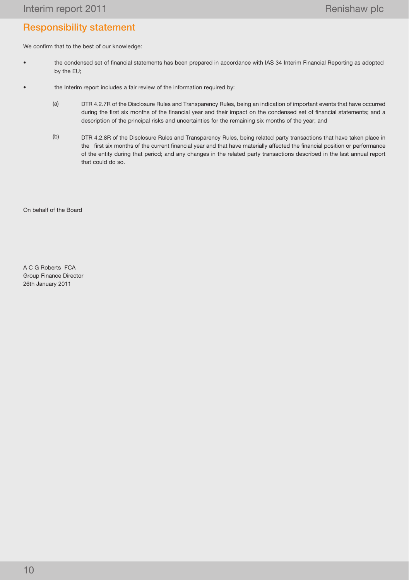# Responsibility statement

We confirm that to the best of our knowledge:

- the condensed set of financial statements has been prepared in accordance with IAS 34 Interim Financial Reporting as adopted by the EU;
- the Interim report includes a fair review of the information required by:
	- (a) DTR 4.2.7R of the Disclosure Rules and Transparency Rules, being an indication of important events that have occurred during the first six months of the financial year and their impact on the condensed set of financial statements; and a description of the principal risks and uncertainties for the remaining six months of the year; and
	- (b) DTR 4.2.8R of the Disclosure Rules and Transparency Rules, being related party transactions that have taken place in the first six months of the current financial year and that have materially affected the financial position or performance of the entity during that period; and any changes in the related party transactions described in the last annual report that could do so.

On behalf of the Board

A C G Roberts FCA Group Finance Director 26th January 2011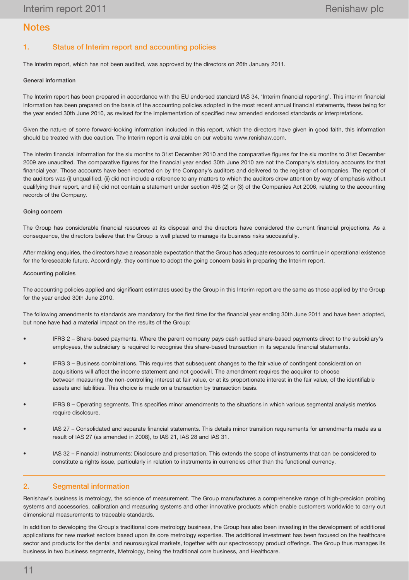# **Notes**

# 1. Status of Interim report and accounting policies

The Interim report, which has not been audited, was approved by the directors on 26th January 2011.

#### General information

The Interim report has been prepared in accordance with the EU endorsed standard IAS 34, 'Interim financial reporting'. This interim financial information has been prepared on the basis of the accounting policies adopted in the most recent annual financial statements, these being for the year ended 30th June 2010, as revised for the implementation of specified new amended endorsed standards or interpretations.

Given the nature of some forward-looking information included in this report, which the directors have given in good faith, this information should be treated with due caution. The Interim report is available on our website www.renishaw.com.

The interim financial information for the six months to 31st December 2010 and the comparative figures for the six months to 31st December 2009 are unaudited. The comparative figures for the financial year ended 30th June 2010 are not the Company's statutory accounts for that financial year. Those accounts have been reported on by the Company's auditors and delivered to the registrar of companies. The report of the auditors was (i) unqualified, (ii) did not include a reference to any matters to which the auditors drew attention by way of emphasis without qualifying their report, and (iii) did not contain a statement under section 498 (2) or (3) of the Companies Act 2006, relating to the accounting records of the Company.

#### Going concern

The Group has considerable financial resources at its disposal and the directors have considered the current financial projections. As a consequence, the directors believe that the Group is well placed to manage its business risks successfully.

After making enquiries, the directors have a reasonable expectation that the Group has adequate resources to continue in operational existence for the foreseeable future. Accordingly, they continue to adopt the going concern basis in preparing the Interim report.

#### Accounting policies

The accounting policies applied and significant estimates used by the Group in this Interim report are the same as those applied by the Group for the year ended 30th June 2010.

The following amendments to standards are mandatory for the first time for the financial year ending 30th June 2011 and have been adopted, but none have had a material impact on the results of the Group:

- IFRS 2 Share-based payments. Where the parent company pays cash settled share-based payments direct to the subsidiary's employees, the subsidiary is required to recognise this share-based transaction in its separate financial statements.
- IFRS 3 Business combinations. This requires that subsequent changes to the fair value of contingent consideration on acquisitions will affect the income statement and not goodwill. The amendment requires the acquirer to choose between measuring the non-controlling interest at fair value, or at its proportionate interest in the fair value, of the identifiable assets and liabilities. This choice is made on a transaction by transaction basis.
- IFRS 8 Operating segments. This specifies minor amendments to the situations in which various segmental analysis metrics require disclosure.
- IAS 27 Consolidated and separate financial statements. This details minor transition requirements for amendments made as a result of IAS 27 (as amended in 2008), to IAS 21, IAS 28 and IAS 31.
- IAS 32 Financial instruments: Disclosure and presentation. This extends the scope of instruments that can be considered to constitute a rights issue, particularly in relation to instruments in currencies other than the functional currency.

#### 2. Segmental information

Renishaw's business is metrology, the science of measurement. The Group manufactures a comprehensive range of high-precision probing systems and accessories, calibration and measuring systems and other innovative products which enable customers worldwide to carry out dimensional measurements to traceable standards.

In addition to developing the Group's traditional core metrology business, the Group has also been investing in the development of additional applications for new market sectors based upon its core metrology expertise. The additional investment has been focused on the healthcare sector and products for the dental and neurosurgical markets, together with our spectroscopy product offerings. The Group thus manages its business in two business segments, Metrology, being the traditional core business, and Healthcare.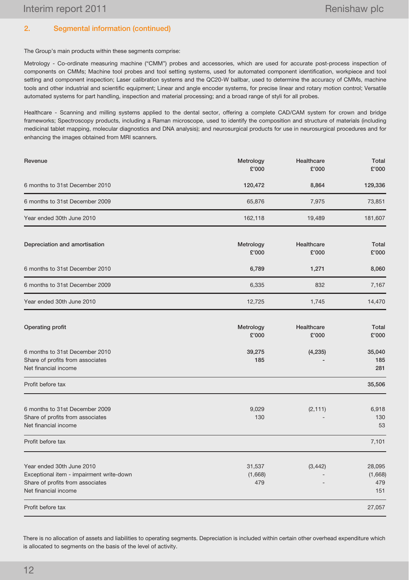27,057

# 2. Segmental information (continued)

The Group's main products within these segments comprise:

Metrology - Co-ordinate measuring machine ("CMM") probes and accessories, which are used for accurate post-process inspection of components on CMMs; Machine tool probes and tool setting systems, used for automated component identification, workpiece and tool setting and component inspection; Laser calibration systems and the QC20-W ballbar, used to determine the accuracy of CMMs, machine tools and other industrial and scientific equipment; Linear and angle encoder systems, for precise linear and rotary motion control; Versatile automated systems for part handling, inspection and material processing; and a broad range of styli for all probes.

Healthcare - Scanning and milling systems applied to the dental sector, offering a complete CAD/CAM system for crown and bridge frameworks; Spectroscopy products, including a Raman microscope, used to identify the composition and structure of materials (including medicinal tablet mapping, molecular diagnostics and DNA analysis); and neurosurgical products for use in neurosurgical procedures and for enhancing the images obtained from MRI scanners.

| Revenue                        | Metrology<br>£'000 | Healthcare<br>£'000 | Total<br>£'000 |
|--------------------------------|--------------------|---------------------|----------------|
| 6 months to 31st December 2010 | 120,472            | 8,864               | 129,336        |
| 6 months to 31st December 2009 | 65,876             | 7.975               | 73,851         |
| Year ended 30th June 2010      | 162,118            | 19.489              | 181,607        |
|                                |                    |                     |                |

| Depreciation and amortisation  | Metrology<br>£'000 | Healthcare<br>£'000 | Total<br>£'000 |
|--------------------------------|--------------------|---------------------|----------------|
| 6 months to 31st December 2010 | 6,789              | 1,271               | 8,060          |
| 6 months to 31st December 2009 | 6,335              | 832                 | 7,167          |
| Year ended 30th June 2010      | 12.725             | 1.745               | 14.470         |

| Operating profit                                         | Metrology<br>£'000 | Healthcare<br>£'000 | Total<br>£'000 |
|----------------------------------------------------------|--------------------|---------------------|----------------|
| 6 months to 31st December 2010                           | 39,275             | (4, 235)            | 35,040         |
| Share of profits from associates<br>Net financial income | 185                |                     | 185<br>281     |
| Profit before tax                                        |                    |                     | 35,506         |
| 6 months to 31st December 2009                           | 9,029              | (2, 111)            | 6,918          |
| Share of profits from associates<br>Net financial income | 130                |                     | 130<br>53      |
| Profit before tax                                        |                    |                     | 7,101          |
| Year ended 30th June 2010                                | 31,537             | (3, 442)            | 28,095         |
| Exceptional item - impairment write-down                 | (1,668)            |                     | (1,668)        |
| Share of profits from associates                         | 479                |                     | 479            |
| Net financial income                                     |                    |                     | 151            |

There is no allocation of assets and liabilities to operating segments. Depreciation is included within certain other overhead expenditure which is allocated to segments on the basis of the level of activity.

Profit before tax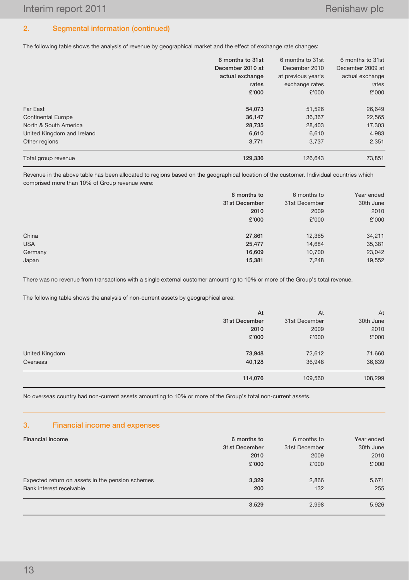# 2. Segmental information (continued)

The following table shows the analysis of revenue by geographical market and the effect of exchange rate changes:

|                            | 6 months to 31st<br>December 2010 at | 6 months to 31st<br>December 2010 | 6 months to 31st<br>December 2009 at |
|----------------------------|--------------------------------------|-----------------------------------|--------------------------------------|
|                            |                                      |                                   |                                      |
|                            | actual exchange                      | at previous year's                | actual exchange                      |
|                            | rates                                | exchange rates                    | rates                                |
|                            | £'000                                | £'000                             | £'000                                |
| Far East                   | 54,073                               | 51,526                            | 26,649                               |
| <b>Continental Europe</b>  | 36,147                               | 36,367                            | 22,565                               |
| North & South America      | 28,735                               | 28,403                            | 17,303                               |
| United Kingdom and Ireland | 6,610                                | 6,610                             | 4,983                                |
| Other regions              | 3,771                                | 3.737                             | 2,351                                |
| Total group revenue        | 129,336                              | 126,643                           | 73,851                               |

Revenue in the above table has been allocated to regions based on the geographical location of the customer. Individual countries which comprised more than 10% of Group revenue were:

|            | 6 months to   | 6 months to   | Year ended |
|------------|---------------|---------------|------------|
|            | 31st December | 31st December | 30th June  |
|            | 2010          | 2009          | 2010       |
|            | £'000         | £'000         | £'000      |
|            |               |               |            |
| China      | 27,861        | 12,365        | 34,211     |
| <b>USA</b> | 25,477        | 14,684        | 35,381     |
| Germany    | 16,609        | 10,700        | 23,042     |
| Japan      | 15,381        | 7,248         | 19,552     |
|            |               |               |            |

There was no revenue from transactions with a single external customer amounting to 10% or more of the Group's total revenue.

The following table shows the analysis of non-current assets by geographical area:

|                | 114,076       | 109,560       | 108,299   |
|----------------|---------------|---------------|-----------|
| Overseas       | 40,128        | 36,948        | 36,639    |
| United Kingdom | 73,948        | 72,612        | 71,660    |
|                | £'000         | £'000         | £'000     |
|                | 2010          | 2009          | 2010      |
|                | 31st December | 31st December | 30th June |
|                | At            | At            | At        |

No overseas country had non-current assets amounting to 10% or more of the Group's total non-current assets.

#### 3. Financial income and expenses

| <b>Financial income</b>                          | 6 months to   | 6 months to   | Year ended |
|--------------------------------------------------|---------------|---------------|------------|
|                                                  | 31st December | 31st December | 30th June  |
|                                                  | 2010          | 2009          | 2010       |
|                                                  | £'000         | £'000         | £'000      |
|                                                  |               |               |            |
| Expected return on assets in the pension schemes | 3,329         | 2,866         | 5,671      |
| Bank interest receivable                         | 200           | 132           | 255        |
|                                                  | 3,529         | 2,998         | 5,926      |
|                                                  |               |               |            |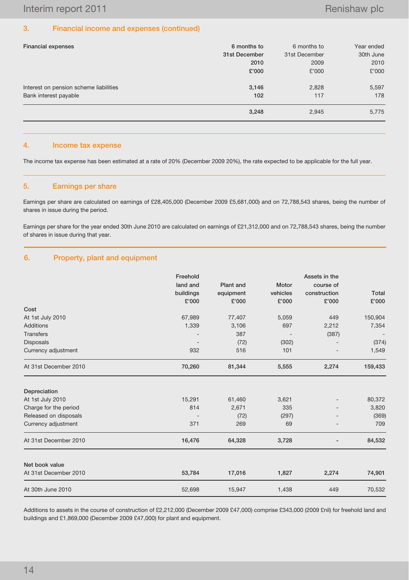### 3. Financial income and expenses (continued)

| <b>Financial expenses</b>                                       | 6 months to<br>31st December<br>2010 | 6 months to<br>31st December<br>2009 | Year ended<br>30th June<br>2010 |
|-----------------------------------------------------------------|--------------------------------------|--------------------------------------|---------------------------------|
| Interest on pension scheme liabilities<br>Bank interest payable | £'000<br>3,146<br>102                | £'000<br>2,828<br>117                | £'000<br>5,597<br>178           |
|                                                                 | 3,248                                | 2,945                                | 5,775                           |

## 4. Income tax expense

The income tax expense has been estimated at a rate of 20% (December 2009 20%), the rate expected to be applicable for the full year.

### 5. Earnings per share

Earnings per share are calculated on earnings of £28,405,000 (December 2009 £5,681,000) and on 72,788,543 shares, being the number of shares in issue during the period.

Earnings per share for the year ended 30th June 2010 are calculated on earnings of £21,312,000 and on 72,788,543 shares, being the number of shares in issue during that year.

## 6. Property, plant and equipment

|                       | Freehold<br>land and             | Plant and | Motor    | Assets in the<br>course of |         |
|-----------------------|----------------------------------|-----------|----------|----------------------------|---------|
|                       | buildings                        | equipment | vehicles | construction               | Total   |
|                       | £'000<br>£'000<br>£'000<br>£'000 | £'000     |          |                            |         |
| Cost                  |                                  |           |          |                            |         |
| At 1st July 2010      | 67,989                           | 77,407    | 5,059    | 449                        | 150,904 |
| Additions             | 1,339                            | 3,106     | 697      | 2,212                      | 7,354   |
| <b>Transfers</b>      |                                  | 387       |          | (387)                      |         |
| Disposals             |                                  | (72)      | (302)    |                            | (374)   |
| Currency adjustment   | 932                              | 516       | 101      | $\overline{\phantom{a}}$   | 1,549   |
| At 31st December 2010 | 70,260                           | 81,344    | 5,555    | 2,274                      | 159,433 |
| Depreciation          |                                  |           |          |                            |         |
| At 1st July 2010      | 15,291                           | 61,460    | 3,621    |                            | 80,372  |
| Charge for the period | 814                              | 2,671     | 335      |                            | 3,820   |
| Released on disposals | $\overline{\phantom{a}}$         | (72)      | (297)    |                            | (369)   |
| Currency adjustment   | 371                              | 269       | 69       |                            | 709     |
| At 31st December 2010 | 16,476                           | 64,328    | 3,728    |                            | 84,532  |
| Net book value        |                                  |           |          |                            |         |
| At 31st December 2010 | 53,784                           | 17,016    | 1,827    | 2,274                      | 74,901  |
| At 30th June 2010     | 52,698                           | 15,947    | 1,438    | 449                        | 70,532  |

Additions to assets in the course of construction of £2,212,000 (December 2009 £47,000) comprise £343,000 (2009 £nil) for freehold land and buildings and £1,869,000 (December 2009 £47,000) for plant and equipment.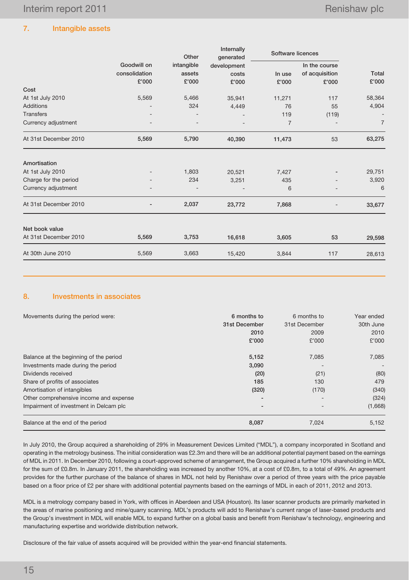# 7. Intangible assets

|                       |               | Other      | Internally<br>generated |                | Software licences |                |
|-----------------------|---------------|------------|-------------------------|----------------|-------------------|----------------|
|                       | Goodwill on   | intangible | development             |                | In the course     |                |
|                       | consolidation | assets     | costs                   | In use         | of acquisition    | Total          |
|                       | £'000         | £'000      | £'000                   | £'000          | £'000             | £'000          |
| Cost                  |               |            |                         |                |                   |                |
| At 1st July 2010      | 5,569         | 5,466      | 35,941                  | 11,271         | 117               | 58,364         |
| Additions             |               | 324        | 4,449                   | 76             | 55                | 4,904          |
| <b>Transfers</b>      |               |            |                         | 119            | (119)             |                |
| Currency adjustment   |               |            |                         | $\overline{7}$ |                   | $\overline{7}$ |
| At 31st December 2010 | 5,569         | 5,790      | 40,390                  | 11,473         | 53                | 63,275         |
| Amortisation          |               |            |                         |                |                   |                |
| At 1st July 2010      |               | 1,803      | 20,521                  | 7,427          |                   | 29,751         |
| Charge for the period |               | 234        | 3,251                   | 435            |                   | 3,920          |
| Currency adjustment   |               |            |                         | 6              |                   | 6              |
| At 31st December 2010 |               | 2,037      | 23,772                  | 7,868          |                   | 33,677         |
| Net book value        |               |            |                         |                |                   |                |
| At 31st December 2010 | 5,569         | 3,753      | 16,618                  | 3,605          | 53                | 29,598         |
| At 30th June 2010     | 5,569         | 3,663      | 15,420                  | 3,844          | 117               | 28,613         |

## 8. Investments in associates

| Movements during the period were:      | 6 months to<br>31st December<br>2010<br>£'000 | 6 months to<br>31st December<br>2009<br>£'000 | Year ended<br>30th June<br>2010<br>£'000 |
|----------------------------------------|-----------------------------------------------|-----------------------------------------------|------------------------------------------|
| Balance at the beginning of the period | 5,152                                         | 7,085                                         | 7,085                                    |
| Investments made during the period     | 3.090                                         |                                               |                                          |
| Dividends received                     | (20)                                          | (21)                                          | (80)                                     |
| Share of profits of associates         | 185                                           | 130                                           | 479                                      |
| Amortisation of intangibles            | (320)                                         | (170)                                         | (340)                                    |
| Other comprehensive income and expense |                                               |                                               | (324)                                    |
| Impairment of investment in Delcam plc | $\overline{\phantom{a}}$                      |                                               | (1,668)                                  |
| Balance at the end of the period       | 8,087                                         | 7,024                                         | 5,152                                    |

In July 2010, the Group acquired a shareholding of 29% in Measurement Devices Limited ("MDL"), a company incorporated in Scotland and operating in the metrology business. The initial consideration was £2.3m and there will be an additional potential payment based on the earnings of MDL in 2011. In December 2010, following a court-approved scheme of arrangement, the Group acquired a further 10% shareholding in MDL for the sum of £0.8m. In January 2011, the shareholding was increased by another 10%, at a cost of £0.8m, to a total of 49%. An agreement provides for the further purchase of the balance of shares in MDL not held by Renishaw over a period of three years with the price payable based on a floor price of £2 per share with additional potential payments based on the earnings of MDL in each of 2011, 2012 and 2013.

MDL is a metrology company based in York, with offices in Aberdeen and USA (Houston). Its laser scanner products are primarily marketed in the areas of marine positioning and mine/quarry scanning. MDL's products will add to Renishaw's current range of laser-based products and the Group's investment in MDL will enable MDL to expand further on a global basis and benefit from Renishaw's technology, engineering and manufacturing expertise and worldwide distribution network.

Disclosure of the fair value of assets acquired will be provided within the year-end financial statements.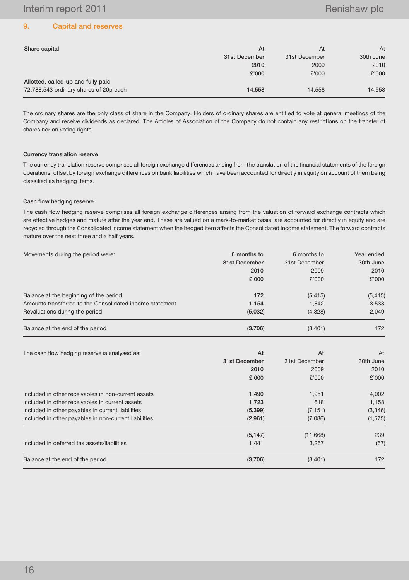## 9. Capital and reserves

| Share capital                          | At            | At            | At        |
|----------------------------------------|---------------|---------------|-----------|
|                                        | 31st December | 31st December | 30th June |
|                                        | 2010          | 2009          | 2010      |
|                                        | £'000         | £'000         | £'000     |
| Allotted, called-up and fully paid     |               |               |           |
| 72,788,543 ordinary shares of 20p each | 14.558        | 14.558        | 14,558    |

The ordinary shares are the only class of share in the Company. Holders of ordinary shares are entitled to vote at general meetings of the Company and receive dividends as declared. The Articles of Association of the Company do not contain any restrictions on the transfer of shares nor on voting rights.

#### Currency translation reserve

The currency translation reserve comprises all foreign exchange differences arising from the translation of the financial statements of the foreign operations, offset by foreign exchange differences on bank liabilities which have been accounted for directly in equity on account of them being classified as hedging items.

#### Cash flow hedging reserve

The cash flow hedging reserve comprises all foreign exchange differences arising from the valuation of forward exchange contracts which are effective hedges and mature after the year end. These are valued on a mark-to-market basis, are accounted for directly in equity and are recycled through the Consolidated income statement when the hedged item affects the Consolidated income statement. The forward contracts mature over the next three and a half years.

| Movements during the period were:                        | 6 months to   | 6 months to   | Year ended |
|----------------------------------------------------------|---------------|---------------|------------|
|                                                          | 31st December | 31st December | 30th June  |
|                                                          | 2010          | 2009          | 2010       |
|                                                          | £'000         | £'000         | £'000      |
| Balance at the beginning of the period                   | 172           | (5, 415)      | (5, 415)   |
| Amounts transferred to the Consolidated income statement | 1,154         | 1,842         | 3,538      |
| Revaluations during the period                           | (5,032)       | (4,828)       | 2,049      |
| Balance at the end of the period                         | (3,706)       | (8,401)       | 172        |
| The cash flow hedging reserve is analysed as:            | At            | At            | At         |
|                                                          | 31st December | 31st December | 30th June  |
|                                                          | 2010          | 2009          | 2010       |
|                                                          | £'000         | £'000         | £'000      |
| Included in other receivables in non-current assets      | 1,490         | 1,951         | 4,002      |
| Included in other receivables in current assets          | 1,723         | 618           | 1,158      |
| Included in other payables in current liabilities        | (5, 399)      | (7, 151)      | (3,346)    |
| Included in other payables in non-current liabilities    | (2,961)       | (7,086)       | (1, 575)   |
|                                                          | (5, 147)      | (11,668)      | 239        |
| Included in deferred tax assets/liabilities              | 1,441         | 3,267         | (67)       |
| Balance at the end of the period                         | (3,706)       | (8,401)       | 172        |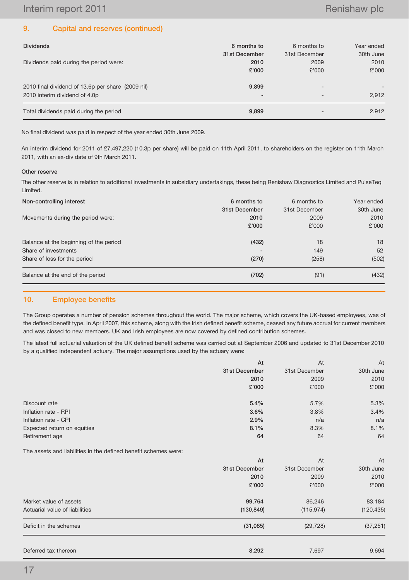# 9. Capital and reserves (continued)

| <b>Dividends</b>                                  | 6 months to   | 6 months to   | Year ended |
|---------------------------------------------------|---------------|---------------|------------|
|                                                   | 31st December | 31st December | 30th June  |
| Dividends paid during the period were:            | 2010          | 2009          | 2010       |
|                                                   | £'000         | £'000         | £'000      |
| 2010 final dividend of 13.6p per share (2009 nil) | 9.899         |               | -          |
| 2010 interim dividend of 4.0p                     | -             |               | 2.912      |
| Total dividends paid during the period            | 9.899         |               | 2,912      |

No final dividend was paid in respect of the year ended 30th June 2009.

An interim dividend for 2011 of £7,497,220 (10.3p per share) will be paid on 11th April 2011, to shareholders on the register on 11th March 2011, with an ex-div date of 9th March 2011.

#### Other reserve

The other reserve is in relation to additional investments in subsidiary undertakings, these being Renishaw Diagnostics Limited and PulseTeq Limited.

| Non-controlling interest               | 6 months to   | 6 months to   | Year ended |
|----------------------------------------|---------------|---------------|------------|
|                                        | 31st December | 31st December | 30th June  |
| Movements during the period were:      | 2010          | 2009          | 2010       |
|                                        | £'000         | £'000         | £'000      |
| Balance at the beginning of the period | (432)         | 18            | 18         |
| Share of investments                   |               | 149           | 52         |
| Share of loss for the period           | (270)         | (258)         | (502)      |
| Balance at the end of the period       | (702)         | (91)          | (432)      |

## 10. Employee benefits

The Group operates a number of pension schemes throughout the world. The major scheme, which covers the UK-based employees, was of the defined benefit type. In April 2007, this scheme, along with the Irish defined benefit scheme, ceased any future accrual for current members and was closed to new members. UK and Irish employees are now covered by defined contribution schemes.

The latest full actuarial valuation of the UK defined benefit scheme was carried out at September 2006 and updated to 31st December 2010 by a qualified independent actuary. The major assumptions used by the actuary were:

|                                                                 | At            | At            | At         |
|-----------------------------------------------------------------|---------------|---------------|------------|
|                                                                 | 31st December | 31st December | 30th June  |
|                                                                 | 2010          | 2009          | 2010       |
|                                                                 | £'000         | £'000         | £'000      |
| Discount rate                                                   | 5.4%          | 5.7%          | 5.3%       |
| Inflation rate - RPI                                            | 3.6%          | 3.8%          | 3.4%       |
| Inflation rate - CPI                                            | 2.9%          | n/a           | n/a        |
| Expected return on equities                                     | 8.1%          | 8.3%          | 8.1%       |
| Retirement age                                                  | 64            | 64            | 64         |
| The assets and liabilities in the defined benefit schemes were: |               |               |            |
|                                                                 | At            | At            | At         |
|                                                                 | 31st December | 31st December | 30th June  |
|                                                                 | 2010          | 2009          | 2010       |
|                                                                 | £'000         | £'000         | £'000      |
| Market value of assets                                          | 99,764        | 86,246        | 83,184     |
| Actuarial value of liabilities                                  | (130, 849)    | (115, 974)    | (120, 435) |
| Deficit in the schemes                                          | (31,085)      | (29, 728)     | (37, 251)  |
| Deferred tax thereon                                            | 8,292         | 7,697         | 9,694      |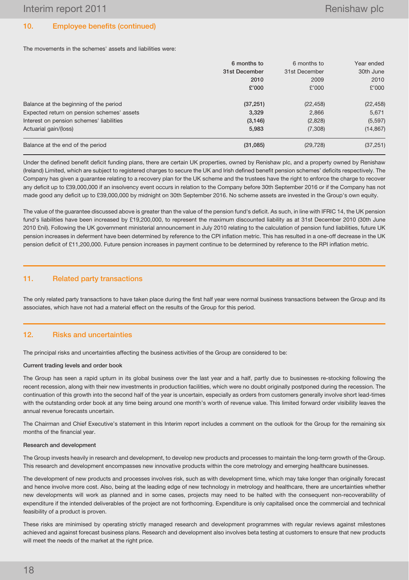# 10. Employee benefits (continued)

The movements in the schemes' assets and liabilities were:

|                                            | 6 months to<br>31st December<br>2010<br>£'000 | 6 months to<br>31st December<br>2009<br>£'000 | Year ended<br>30th June<br>2010<br>£'000 |
|--------------------------------------------|-----------------------------------------------|-----------------------------------------------|------------------------------------------|
| Balance at the beginning of the period     | (37, 251)                                     | (22, 458)                                     | (22, 458)                                |
| Expected return on pension schemes' assets | 3,329                                         | 2,866                                         | 5,671                                    |
| Interest on pension schemes' liabilities   | (3, 146)                                      | (2,828)                                       | (5, 597)                                 |
| Actuarial gain/(loss)                      | 5,983                                         | (7,308)                                       | (14, 867)                                |
| Balance at the end of the period           | (31,085)                                      | (29, 728)                                     | (37, 251)                                |

Under the defined benefit deficit funding plans, there are certain UK properties, owned by Renishaw plc, and a property owned by Renishaw (Ireland) Limited, which are subject to registered charges to secure the UK and Irish defined benefit pension schemes' deficits respectively. The Company has given a guarantee relating to a recovery plan for the UK scheme and the trustees have the right to enforce the charge to recover any deficit up to £39,000,000 if an insolvency event occurs in relation to the Company before 30th September 2016 or if the Company has not made good any deficit up to £39,000,000 by midnight on 30th September 2016. No scheme assets are invested in the Group's own equity.

The value of the guarantee discussed above is greater than the value of the pension fund's deficit. As such, in line with IFRIC 14, the UK pension fund's liabilities have been increased by £19,200,000, to represent the maximum discounted liability as at 31st December 2010 (30th June 2010 £nil). Following the UK government ministerial announcement in July 2010 relating to the calculation of pension fund liabilities, future UK pension increases in deferment have been determined by reference to the CPI inflation metric. This has resulted in a one-off decrease in the UK pension deficit of £11,200,000. Future pension increases in payment continue to be determined by reference to the RPI inflation metric.

# 11. Related party transactions

The only related party transactions to have taken place during the first half year were normal business transactions between the Group and its associates, which have not had a material effect on the results of the Group for this period.

# 12. Risks and uncertainties

The principal risks and uncertainties affecting the business activities of the Group are considered to be:

## Current trading levels and order book

The Group has seen a rapid upturn in its global business over the last year and a half, partly due to businesses re-stocking following the recent recession, along with their new investments in production facilities, which were no doubt originally postponed during the recession. The continuation of this growth into the second half of the year is uncertain, especially as orders from customers generally involve short lead-times with the outstanding order book at any time being around one month's worth of revenue value. This limited forward order visibility leaves the annual revenue forecasts uncertain.

The Chairman and Chief Executive's statement in this Interim report includes a comment on the outlook for the Group for the remaining six months of the financial year.

## Research and development

The Group invests heavily in research and development, to develop new products and processes to maintain the long-term growth of the Group. This research and development encompasses new innovative products within the core metrology and emerging healthcare businesses.

The development of new products and processes involves risk, such as with development time, which may take longer than originally forecast and hence involve more cost. Also, being at the leading edge of new technology in metrology and healthcare, there are uncertainties whether new developments will work as planned and in some cases, projects may need to be halted with the consequent non-recoverability of expenditure if the intended deliverables of the project are not forthcoming. Expenditure is only capitalised once the commercial and technical feasibility of a product is proven.

These risks are minimised by operating strictly managed research and development programmes with regular reviews against milestones achieved and against forecast business plans. Research and development also involves beta testing at customers to ensure that new products will meet the needs of the market at the right price.